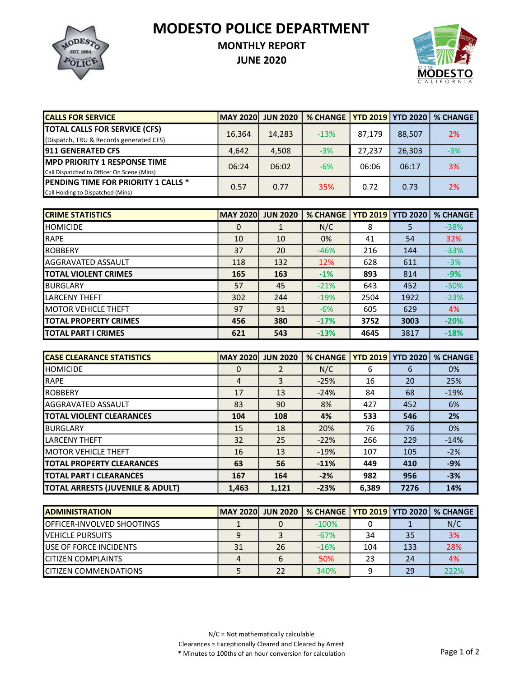MODESTO POLICE DEPARTMENT



## MONTHLY REPORT

JUNE 2020



| <b>CALLS FOR SERVICE</b>                   | <b>MAY 2020</b> | <b>JUN 2020</b> | % CHANGE   YTD 2019   YTD 2020 |        |        | <b>% CHANGE</b> |
|--------------------------------------------|-----------------|-----------------|--------------------------------|--------|--------|-----------------|
| <b>TOTAL CALLS FOR SERVICE (CFS)</b>       | 16,364          | 14,283          | $-13%$                         | 87,179 | 88,507 | 2%              |
| (Dispatch, TRU & Records generated CFS)    |                 |                 |                                |        |        |                 |
| <b>1911 GENERATED CFS</b>                  | 4,642           | 4,508           | $-3%$                          | 27.237 | 26,303 | $-3%$           |
| <b>MPD PRIORITY 1 RESPONSE TIME</b>        | 06:24           | 06:02           | $-6%$                          | 06:06  | 06:17  | 3%              |
| Call Dispatched to Officer On Scene (Mins) |                 |                 |                                |        |        |                 |
| <b>PENDING TIME FOR PRIORITY 1 CALLS *</b> | 0.57            | 0.77            | 35%                            | 0.72   | 0.73   | 2%              |
| Call Holding to Dispatched (Mins)          |                 |                 |                                |        |        |                 |

| <b>CRIME STATISTICS</b>       | <b>MAY 2020</b> | <b>JUN 2020</b> | <b>% CHANGE</b> |      | <b>YTD 2019   YTD 2020</b> | <b>% CHANGE</b> |
|-------------------------------|-----------------|-----------------|-----------------|------|----------------------------|-----------------|
| <b>I</b> HOMICIDE             | $\mathbf 0$     |                 | N/C             | 8    | 5                          | $-38%$          |
| <b>RAPE</b>                   | 10              | 10              | 0%              | 41   | 54                         | 32%             |
| <b>IROBBERY</b>               | 37              | 20              | $-46%$          | 216  | 144                        | $-33%$          |
| <b>AGGRAVATED ASSAULT</b>     | 118             | 132             | 12%             | 628  | 611                        | $-3%$           |
| <b>ITOTAL VIOLENT CRIMES</b>  | 165             | 163             | $-1%$           | 893  | 814                        | $-9%$           |
| IBURGLARY                     | 57              | 45              | $-21%$          | 643  | 452                        | $-30%$          |
| <b>LARCENY THEFT</b>          | 302             | 244             | $-19%$          | 2504 | 1922                       | $-23%$          |
| <b>IMOTOR VEHICLE THEFT</b>   | 97              | 91              | $-6%$           | 605  | 629                        | 4%              |
| <b>ITOTAL PROPERTY CRIMES</b> | 456             | 380             | $-17%$          | 3752 | 3003                       | $-20%$          |
| <b>ITOTAL PART I CRIMES</b>   | 621             | 543             | $-13%$          | 4645 | 3817                       | $-18%$          |

| <b>ICASE CLEARANCE STATISTICS</b> | <b>MAY 2020</b> | <b>JUN 2020</b> | <b>% CHANGE</b> | <b>YTD 2019</b> | <b>YTD 2020</b> | <b>% CHANGE</b> |
|-----------------------------------|-----------------|-----------------|-----------------|-----------------|-----------------|-----------------|
| <b>HOMICIDE</b>                   | 0               | 2               | N/C             | 6               | 6               | 0%              |
| <b>RAPE</b>                       | $\overline{4}$  | 3               | $-25%$          | 16              | 20              | 25%             |
| <b>IROBBERY</b>                   | 17              | 13              | $-24%$          | 84              | 68              | $-19%$          |
| <b>AGGRAVATED ASSAULT</b>         | 83              | 90              | 8%              | 427             | 452             | 6%              |
| <b>TOTAL VIOLENT CLEARANCES</b>   | 104             | 108             | 4%              | 533             | 546             | 2%              |
| <b>I</b> BURGLARY                 | 15              | 18              | 20%             | 76              | 76              | 0%              |
| <b>LARCENY THEFT</b>              | 32              | 25              | $-22%$          | 266             | 229             | $-14%$          |
| <b>IMOTOR VEHICLE THEFT</b>       | 16              | 13              | $-19%$          | 107             | 105             | $-2%$           |
| <b>ITOTAL PROPERTY CLEARANCES</b> | 63              | 56              | $-11%$          | 449             | 410             | $-9%$           |
| <b>TOTAL PART I CLEARANCES</b>    | 167             | 164             | $-2%$           | 982             | 956             | $-3%$           |
| TOTAL ARRESTS (JUVENILE & ADULT)  | 1,463           | 1,121           | $-23%$          | 6,389           | 7276            | 14%             |

| <b>IADMINISTRATION</b>             | MAY 2020  JUN 2020 |    | % CHANGE   YTD 2019   YTD 2020   % CHANGE |     |     |      |
|------------------------------------|--------------------|----|-------------------------------------------|-----|-----|------|
| <b>IOFFICER-INVOLVED SHOOTINGS</b> |                    |    | $-100%$                                   |     |     | N/C  |
| <b>IVEHICLE PURSUITS</b>           |                    |    | $-67%$                                    | 34  | 35  | 3%   |
| <b>IUSE OF FORCE INCIDENTS</b>     | 31                 | 26 | $-16%$                                    | 104 | 133 | 28%  |
| <b>ICITIZEN COMPLAINTS</b>         |                    |    | 50%                                       | 23  | 24  | 4%   |
| <b>ICITIZEN COMMENDATIONS</b>      |                    |    | 340%                                      |     | 29  | 222% |